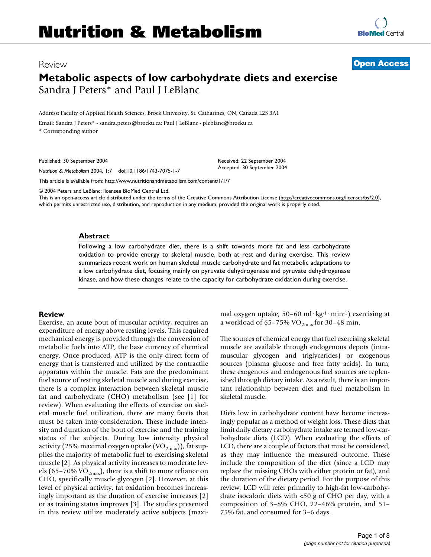## Review **[Open Access](http://www.biomedcentral.com/info/about/charter/)**

# **Metabolic aspects of low carbohydrate diets and exercise** Sandra J Peters\* and Paul J LeBlanc

Address: Faculty of Applied Health Sciences, Brock University, St. Catharines, ON, Canada L2S 3A1

Email: Sandra J Peters\* - sandra.peters@brocku.ca; Paul J LeBlanc - pleblanc@brocku.ca

\* Corresponding author

Published: 30 September 2004

*Nutrition & Metabolism* 2004, **1**:7 doi:10.1186/1743-7075-1-7

[This article is available from: http://www.nutritionandmetabolism.com/content/1/1/7](http://www.nutritionandmetabolism.com/content/1/1/7)

© 2004 Peters and LeBlanc; licensee BioMed Central Ltd.

This is an open-access article distributed under the terms of the Creative Commons Attribution License (<http://creativecommons.org/licenses/by/2.0>), which permits unrestricted use, distribution, and reproduction in any medium, provided the original work is properly cited.

Received: 22 September 2004 Accepted: 30 September 2004

#### **Abstract**

Following a low carbohydrate diet, there is a shift towards more fat and less carbohydrate oxidation to provide energy to skeletal muscle, both at rest and during exercise. This review summarizes recent work on human skeletal muscle carbohydrate and fat metabolic adaptations to a low carbohydrate diet, focusing mainly on pyruvate dehydrogenase and pyruvate dehydrogenase kinase, and how these changes relate to the capacity for carbohydrate oxidation during exercise.

## **Review**

Exercise, an acute bout of muscular activity, requires an expenditure of energy above resting levels. This required mechanical energy is provided through the conversion of metabolic fuels into ATP, the base currency of chemical energy. Once produced, ATP is the only direct form of energy that is transferred and utilized by the contractile apparatus within the muscle. Fats are the predominant fuel source of resting skeletal muscle and during exercise, there is a complex interaction between skeletal muscle fat and carbohydrate (CHO) metabolism (see [1] for review). When evaluating the effects of exercise on skeletal muscle fuel utilization, there are many facets that must be taken into consideration. These include intensity and duration of the bout of exercise and the training status of the subjects. During low intensity physical activity (25% maximal oxygen uptake  $(\rm VO_{2max})$ ), fat supplies the majority of metabolic fuel to exercising skeletal muscle [2]. As physical activity increases to moderate levels (65–70% VO<sub>2max</sub>), there is a shift to more reliance on CHO, specifically muscle glycogen [2]. However, at this level of physical activity, fat oxidation becomes increasingly important as the duration of exercise increases [2] or as training status improves [3]. The studies presented in this review utilize moderately active subjects (maximal oxygen uptake, 50–60 ml·kg-1·min-1) exercising at a workload of  $65-75\%$  VO<sub>2max</sub> for 30-48 min.

The sources of chemical energy that fuel exercising skeletal muscle are available through endogenous depots (intramuscular glycogen and triglycerides) or exogenous sources (plasma glucose and free fatty acids). In turn, these exogenous and endogenous fuel sources are replenished through dietary intake. As a result, there is an important relationship between diet and fuel metabolism in skeletal muscle.

Diets low in carbohydrate content have become increasingly popular as a method of weight loss. These diets that limit daily dietary carbohydrate intake are termed low-carbohydrate diets (LCD). When evaluating the effects of LCD, there are a couple of factors that must be considered, as they may influence the measured outcome. These include the composition of the diet (since a LCD may replace the missing CHOs with either protein or fat), and the duration of the dietary period. For the purpose of this review, LCD will refer primarily to high-fat low-carbohydrate isocaloric diets with <50 g of CHO per day, with a composition of 3–8% CHO, 22–46% protein, and 51– 75% fat, and consumed for 3–6 days.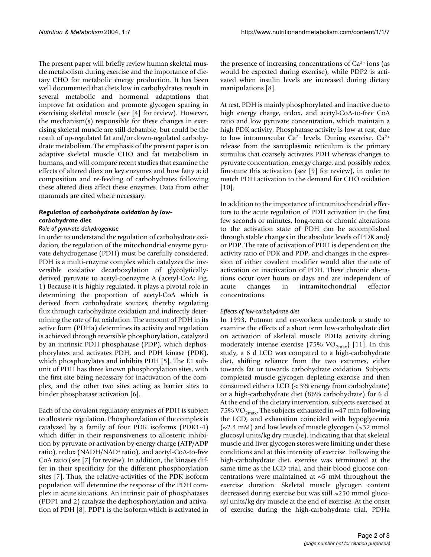The present paper will briefly review human skeletal muscle metabolism during exercise and the importance of dietary CHO for metabolic energy production. It has been well documented that diets low in carbohydrates result in several metabolic and hormonal adaptations that improve fat oxidation and promote glycogen sparing in exercising skeletal muscle (see [4] for review). However, the mechanism(s) responsible for these changes in exercising skeletal muscle are still debatable, but could be the result of up-regulated fat and/or down-regulated carbohydrate metabolism. The emphasis of the present paper is on adaptive skeletal muscle CHO and fat metabolism in humans, and will compare recent studies that examine the effects of altered diets on key enzymes and how fatty acid composition and re-feeding of carbohydrates following these altered diets affect these enzymes. Data from other mammals are cited where necessary.

## *Regulation of carbohydrate oxidation by lowcarbohydrate diet*

## *Role of pyruvate dehydrogenase*

In order to understand the regulation of carbohydrate oxidation, the regulation of the mitochondrial enzyme pyruvate dehydrogenase (PDH) must be carefully considered. PDH is a multi-enzyme complex which catalyzes the irreversible oxidative decarboxylation of glycolyticallyderived pyruvate to acetyl-coenzyme A (acetyl-CoA; Fig. [1\)](#page-2-0) Because it is highly regulated, it plays a pivotal role in determining the proportion of acetyl-CoA which is derived from carbohydrate sources, thereby regulating flux through carbohydrate oxidation and indirectly determining the rate of fat oxidation. The amount of PDH in its active form (PDHa) determines its activity and regulation is achieved through reversible phosphorylation, catalyzed by an intrinsic PDH phosphatase (PDP), which dephosphorylates and activates PDH, and PDH kinase (PDK), which phosphorylates and inhibits PDH [5]. The E1 subunit of PDH has three known phosphorylation sites, with the first site being necessary for inactivation of the complex, and the other two sites acting as barrier sites to hinder phosphatase activation [6].

Each of the covalent regulatory enzymes of PDH is subject to allosteric regulation. Phosphorylation of the complex is catalyzed by a family of four PDK isoforms (PDK1-4) which differ in their responsiveness to allosteric inhibition by pyruvate or activation by energy charge (ATP/ADP ratio), redox (NADH/NAD+ ratio), and acetyl-CoA-to-free CoA ratio (see [7] for review). In addition, the kinases differ in their specificity for the different phosphorylation sites [7]. Thus, the relative activities of the PDK isoform population will determine the response of the PDH complex in acute situations. An intrinsic pair of phosphatases (PDP1 and 2) catalyze the dephosphorylation and activation of PDH [8]. PDP1 is the isoform which is activated in

the presence of increasing concentrations of  $Ca^{2+}$  ions (as would be expected during exercise), while PDP2 is activated when insulin levels are increased during dietary manipulations [8].

At rest, PDH is mainly phosphorylated and inactive due to high energy charge, redox, and acetyl-CoA-to-free CoA ratio and low pyruvate concentration, which maintain a high PDK activity. Phosphatase activity is low at rest, due to low intramuscular Ca2+ levels. During exercise, Ca2+ release from the sarcoplasmic reticulum is the primary stimulus that coarsely activates PDH whereas changes to pyruvate concentration, energy charge, and possibly redox fine-tune this activation (see [9] for review), in order to match PDH activation to the demand for CHO oxidation  $[10]$ .

In addition to the importance of intramitochondrial effectors to the acute regulation of PDH activation in the first few seconds or minutes, long-term or chronic alterations to the activation state of PDH can be accomplished through stable changes in the absolute levels of PDK and/ or PDP. The rate of activation of PDH is dependent on the activity ratio of PDK and PDP, and changes in the expression of either covalent modifier would alter the rate of activation or inactivation of PDH. These chronic alterations occur over hours or days and are independent of acute changes in intramitochondrial effector concentrations.

## *Effects of low-carbohydrate diet*

In 1993, Putman and co-workers undertook a study to examine the effects of a short term low-carbohydrate diet on activation of skeletal muscle PDHa activity during moderately intense exercise (75%  $VO_{2max}$ ) [11]. In this study, a 6 d LCD was compared to a high-carbohydrate diet, shifting reliance from the two extremes, either towards fat or towards carbohydrate oxidation. Subjects completed muscle glycogen depleting exercise and then consumed either a LCD (< 3% energy from carbohydrate) or a high-carbohydrate diet (86% carbohydrate) for 6 d. At the end of the dietary intervention, subjects exercised at 75% VO<sub>2max</sub>. The subjects exhausted in ~47 min following the LCD, and exhaustion coincided with hypoglycemia  $(\sim 2.4 \text{ mM})$  and low levels of muscle glycogen ( $\sim 32 \text{ mmol}$ ) glucosyl units/kg dry muscle), indicating that that skeletal muscle and liver glycogen stores were limiting under these conditions and at this intensity of exercise. Following the high-carbohydrate diet, exercise was terminated at the same time as the LCD trial, and their blood glucose concentrations were maintained at  $\sim$ 5 mM throughout the exercise duration. Skeletal muscle glycogen content decreased during exercise but was still ~250 mmol glucosyl units/kg dry muscle at the end of exercise. At the onset of exercise during the high-carbohydrate trial, PDHa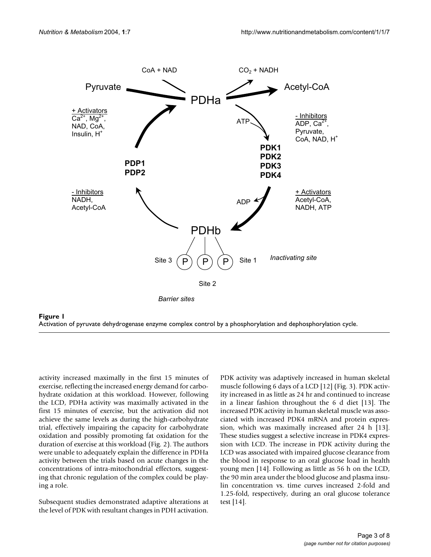<span id="page-2-0"></span>



activity increased maximally in the first 15 minutes of exercise, reflecting the increased energy demand for carbohydrate oxidation at this workload. However, following the LCD, PDHa activity was maximally activated in the first 15 minutes of exercise, but the activation did not achieve the same levels as during the high-carbohydrate trial, effectively impairing the capacity for carbohydrate oxidation and possibly promoting fat oxidation for the duration of exercise at this workload (Fig. 2). The authors were unable to adequately explain the difference in PDHa activity between the trials based on acute changes in the concentrations of intra-mitochondrial effectors, suggesting that chronic regulation of the complex could be playing a role.

Subsequent studies demonstrated adaptive alterations at the level of PDK with resultant changes in PDH activation.

PDK activity was adaptively increased in human skeletal muscle following 6 days of a LCD [12] (Fig. 3). PDK activity increased in as little as 24 hr and continued to increase in a linear fashion throughout the 6 d diet [13]. The increased PDK activity in human skeletal muscle was associated with increased PDK4 mRNA and protein expression, which was maximally increased after 24 h [13]. These studies suggest a selective increase in PDK4 expression with LCD. The increase in PDK activity during the LCD was associated with impaired glucose clearance from the blood in response to an oral glucose load in health young men [14]. Following as little as 56 h on the LCD, the 90 min area under the blood glucose and plasma insulin concentration vs. time curves increased 2-fold and 1.25-fold, respectively, during an oral glucose tolerance test [14].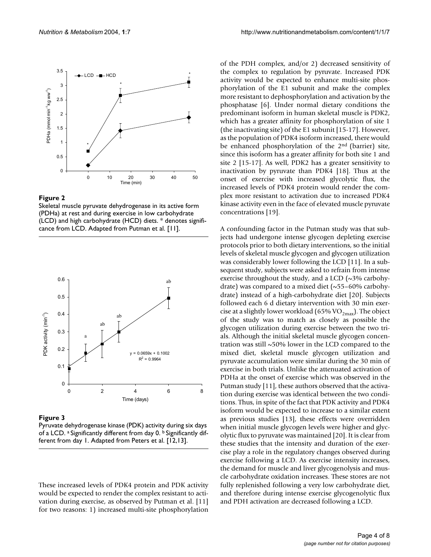

#### Figure 2

Skeletal muscle pyruvate dehydrogenase in its active form (PDHa) at rest and during exercise in low carbohydrate (LCD) and high carbohydrate (HCD) diets. \* denotes significance from LCD. Adapted from Putman et al. [11].



**Figure 3** 

Pyruvate dehydrogenase kinase (PDK) activity during six days of a LCD. a Significantly different from day 0. b Significantly different from day 1. Adapted from Peters et al. [12,13].

These increased levels of PDK4 protein and PDK activity would be expected to render the complex resistant to activation during exercise, as observed by Putman et al. [11] for two reasons: 1) increased multi-site phosphorylation

of the PDH complex, and/or 2) decreased sensitivity of the complex to regulation by pyruvate. Increased PDK activity would be expected to enhance multi-site phosphorylation of the E1 subunit and make the complex more resistant to dephosphorylation and activation by the phosphatase [6]. Under normal dietary conditions the predominant isoform in human skeletal muscle is PDK2, which has a greater affinity for phosphorylation of site 1 (the inactivating site) of the E1 subunit [15-17]. However, as the population of PDK4 isoform increased, there would be enhanced phosphorylation of the 2nd (barrier) site, since this isoform has a greater affinity for both site 1 and site 2 [15-17]. As well, PDK2 has a greater sensitivity to inactivation by pyruvate than PDK4 [18]. Thus at the onset of exercise with increased glycolytic flux, the increased levels of PDK4 protein would render the complex more resistant to activation due to increased PDK4 kinase activity even in the face of elevated muscle pyruvate concentrations [19].

A confounding factor in the Putman study was that subjects had undergone intense glycogen depleting exercise protocols prior to both dietary interventions, so the initial levels of skeletal muscle glycogen and glycogen utilization was considerably lower following the LCD [11]. In a subsequent study, subjects were asked to refrain from intense exercise throughout the study, and a LCD (~3% carbohydrate) was compared to a mixed diet  $(\sim 55-60\%$  carbohydrate) instead of a high-carbohydrate diet [20]. Subjects followed each 6 d dietary intervention with 30 min exercise at a slightly lower workload (65% VO $_{2max}$ ). The object of the study was to match as closely as possible the glycogen utilization during exercise between the two trials. Although the initial skeletal muscle glycogen concentration was still ~50% lower in the LCD compared to the mixed diet, skeletal muscle glycogen utilization and pyruvate accumulation were similar during the 30 min of exercise in both trials. Unlike the attenuated activation of PDHa at the onset of exercise which was observed in the Putman study [11], these authors observed that the activation during exercise was identical between the two conditions. Thus, in spite of the fact that PDK activity and PDK4 isoform would be expected to increase to a similar extent as previous studies [13], these effects were overridden when initial muscle glycogen levels were higher and glycolytic flux to pyruvate was maintained [20]. It is clear from these studies that the intensity and duration of the exercise play a role in the regulatory changes observed during exercise following a LCD. As exercise intensity increases, the demand for muscle and liver glycogenolysis and muscle carbohydrate oxidation increases. These stores are not fully replenished following a very low carbohydrate diet, and therefore during intense exercise glycogenolytic flux and PDH activation are decreased following a LCD.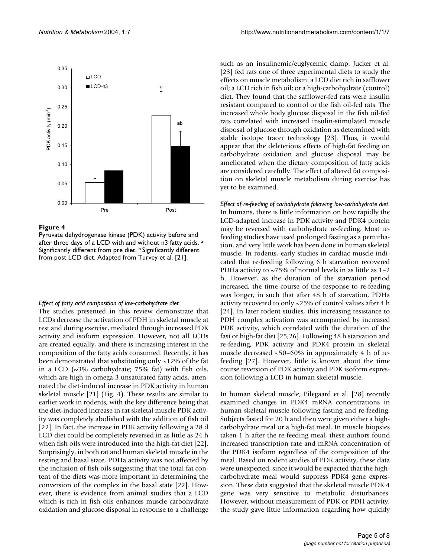

#### Figure 4

Pyruvate dehydrogenase kinase (PDK) activity before and after three days of a LCD with and without n3 fatty acids. a Significantly different from pre diet. **b** Significantly different from post LCD diet. Adapted from Turvey et al. [21].

#### *Effect of fatty acid composition of low-carbohydrate diet*

The studies presented in this review demonstrate that LCDs decrease the activation of PDH in skeletal muscle at rest and during exercise, mediated through increased PDK activity and isoform expression. However, not all LCDs are created equally, and there is increasing interest in the composition of the fatty acids consumed. Recently, it has been demonstrated that substituting only  $\sim$ 12% of the fat in a LCD (~3% carbohydrate; 75% fat) with fish oils, which are high in omega-3 unsaturated fatty acids, attenuated the diet-induced increase in PDK activity in human skeletal muscle [21] (Fig. 4). These results are similar to earlier work in rodents, with the key difference being that the diet-induced increase in rat skeletal muscle PDK activity was completely abolished with the addition of fish oil [22]. In fact, the increase in PDK activity following a 28 d LCD diet could be completely reversed in as little as 24 h when fish oils were introduced into the high-fat diet [22]. Surprisingly, in both rat and human skeletal muscle in the resting and basal state, PDHa activity was not affected by the inclusion of fish oils suggesting that the total fat content of the diets was more important in determining the conversion of the complex in the basal state [22]. However, there is evidence from animal studies that a LCD which is rich in fish oils enhances muscle carbohydrate oxidation and glucose disposal in response to a challenge

such as an insulinemic/euglycemic clamp. Jucker et al. [23] fed rats one of three experimental diets to study the effects on muscle metabolism: a LCD diet rich in safflower oil; a LCD rich in fish oil; or a high-carbohydrate (control) diet. They found that the safflower-fed rats were insulin resistant compared to control or the fish oil-fed rats. The increased whole body glucose disposal in the fish oil-fed rats correlated with increased insulin-stimulated muscle disposal of glucose through oxidation as determined with stable isotope tracer technology [23]. Thus, it would appear that the deleterious effects of high-fat feeding on carbohydrate oxidation and glucose disposal may be ameliorated when the dietary composition of fatty acids are considered carefully. The effect of altered fat composition on skeletal muscle metabolism during exercise has yet to be examined.

*Effect of re-feeding of carbohydrate following low-carbohydrate diet* In humans, there is little information on how rapidly the LCD-adapted increase in PDK activity and PDK4 protein may be reversed with carbohydrate re-feeding. Most refeeding studies have used prolonged fasting as a perturbation, and very little work has been done in human skeletal muscle. In rodents, early studies in cardiac muscle indicated that re-feeding following 6 h starvation recovered PDHa activity to  $\sim$ 75% of normal levels in as little as 1-2 h. However, as the duration of the starvation period increased, the time course of the response to re-feeding was longer, in such that after 48 h of starvation, PDHa activity recovered to only ~25% of control values after 4 h [24]. In later rodent studies, this increasing resistance to PDH complex activation was accompanied by increased PDK activity, which correlated with the duration of the fast or high-fat diet [25,26]. Following 48 h starvation and re-feeding, PDK activity and PDK4 protein in skeletal muscle decreased  $\sim$ 50–60% in approximately 4 h of refeeding [27]. However, little is known about the time course reversion of PDK activity and PDK isoform expression following a LCD in human skeletal muscle.

In human skeletal muscle, Pilegaard et al. [28] recently examined changes in PDK4 mRNA concentrations in human skeletal muscle following fasting and re-feeding. Subjects fasted for 20 h and then were given either a highcarbohydrate meal or a high-fat meal. In muscle biopsies taken 1 h after the re-feeding meal, these authors found increased transcription rate and mRNA concentration of the PDK4 isoform regardless of the composition of the meal. Based on rodent studies of PDK activity, these data were unexpected, since it would be expected that the highcarbohydrate meal would suppress PDK4 gene expression. These data suggested that the skeletal muscle PDK 4 gene was very sensitive to metabolic disturbances. However, without measurement of PDK or PDH activity, the study gave little information regarding how quickly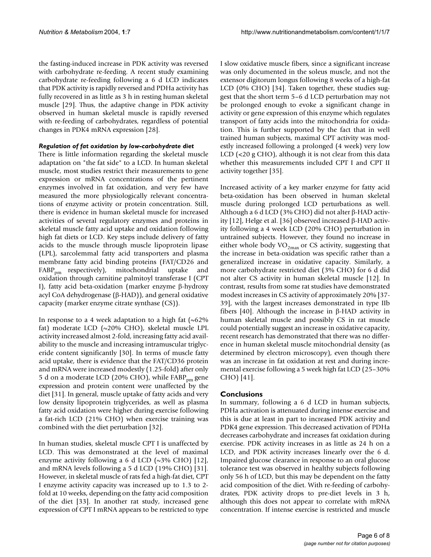the fasting-induced increase in PDK activity was reversed with carbohydrate re-feeding. A recent study examining carbohydrate re-feeding following a 6 d LCD indicates that PDK activity is rapidly reversed and PDHa activity has fully recovered in as little as 3 h in resting human skeletal muscle [29]. Thus, the adaptive change in PDK activity observed in human skeletal muscle is rapidly reversed with re-feeding of carbohydrates, regardless of potential changes in PDK4 mRNA expression [28].

## *Regulation of fat oxidation by low-carbohydrate diet*

There is little information regarding the skeletal muscle adaptation on "the fat side" to a LCD. In human skeletal muscle, most studies restrict their measurements to gene expression or mRNA concentrations of the pertinent enzymes involved in fat oxidation, and very few have measured the more physiologically relevant concentrations of enzyme activity or protein concentration. Still, there is evidence in human skeletal muscle for increased activities of several regulatory enzymes and proteins in skeletal muscle fatty acid uptake and oxidation following high fat diets or LCD. Key steps include delivery of fatty acids to the muscle through muscle lipoprotein lipase (LPL), sarcolemmal fatty acid transporters and plasma membrane fatty acid binding proteins (FAT/CD26 and FABP<sub>pm</sub> respectively), mitochondrial uptake and oxidation through carnitine palmitoyl transferase I (CPT I), fatty acid beta-oxidation (marker enzyme β-hydroxy acyl CoA dehydrogenase (β-HAD)), and general oxidative capacity (marker enzyme citrate synthase (CS)).

In response to a 4 week adaptation to a high fat  $(\sim 62\%$ fat) moderate LCD (~20% CHO), skeletal muscle LPL activity increased almost 2-fold, increasing fatty acid availability to the muscle and increasing intramuscular triglyceride content significantly [30]. In terms of muscle fatty acid uptake, there is evidence that the FAT/CD36 protein and mRNA were increased modestly (1.25-fold) after only 5 d on a moderate LCD (20% CHO), while  $FABP_{nm}$  gene expression and protein content were unaffected by the diet [31]. In general, muscle uptake of fatty acids and very low density lipoprotein triglycerides, as well as plasma fatty acid oxidation were higher during exercise following a fat-rich LCD (21% CHO) when exercise training was combined with the diet perturbation [32].

In human studies, skeletal muscle CPT I is unaffected by LCD. This was demonstrated at the level of maximal enzyme activity following a 6 d LCD ( $\sim$ 3% CHO) [12], and mRNA levels following a 5 d LCD (19% CHO) [31]. However, in skeletal muscle of rats fed a high-fat diet, CPT I enzyme activity capacity was increased up to 1.3 to 2 fold at 10 weeks, depending on the fatty acid composition of the diet [33]. In another rat study, increased gene expression of CPT I mRNA appears to be restricted to type

I slow oxidative muscle fibers, since a significant increase was only documented in the soleus muscle, and not the extensor digitorum longus following 8 weeks of a high-fat LCD (0% CHO) [34]. Taken together, these studies suggest that the short term 5–6 d LCD perturbation may not be prolonged enough to evoke a significant change in activity or gene expression of this enzyme which regulates transport of fatty acids into the mitochondria for oxidation. This is further supported by the fact that in well trained human subjects, maximal CPT activity was modestly increased following a prolonged (4 week) very low LCD (<20 g CHO), although it is not clear from this data whether this measurements included CPT I and CPT II activity together [35].

Increased activity of a key marker enzyme for fatty acid beta-oxidation has been observed in human skeletal muscle during prolonged LCD perturbations as well. Although a 6 d LCD (3% CHO) did not alter β-HAD activity [12], Helge et al. [36] observed increased β-HAD activity following a 4 week LCD (20% CHO) perturbation in untrained subjects. However, they found no increase in either whole body  $VO_{2max}$  or CS activity, suggesting that the increase in beta-oxidation was specific rather than a generalized increase in oxidative capacity. Similarly, a more carbohydrate restricted diet (3% CHO) for 6 d did not alter CS activity in human skeletal muscle [12]. In contrast, results from some rat studies have demonstrated modest increases in CS activity of approximately 20% [37- 39], with the largest increases demonstrated in type IIb fibers [40]. Although the increase in β-HAD activity in human skeletal muscle and possibly CS in rat muscle could potentially suggest an increase in oxidative capacity, recent research has demonstrated that there was no difference in human skeletal muscle mitochondrial density (as determined by electron microscopy), even though there was an increase in fat oxidation at rest and during incremental exercise following a 5 week high fat LCD (25–30% CHO) [41].

## **Conclusions**

In summary, following a 6 d LCD in human subjects, PDHa activation is attenuated during intense exercise and this is due at least in part to increased PDK activity and PDK4 gene expression. This decreased activation of PDHa decreases carbohydrate and increases fat oxidation during exercise. PDK activity increases in as little as 24 h on a LCD, and PDK activity increases linearly over the 6 d. Impaired glucose clearance in response to an oral glucose tolerance test was observed in healthy subjects following only 56 h of LCD, but this may be dependent on the fatty acid composition of the diet. With re-feeding of carbohydrates, PDK activity drops to pre-diet levels in 3 h, although this does not appear to correlate with mRNA concentration. If intense exercise is restricted and muscle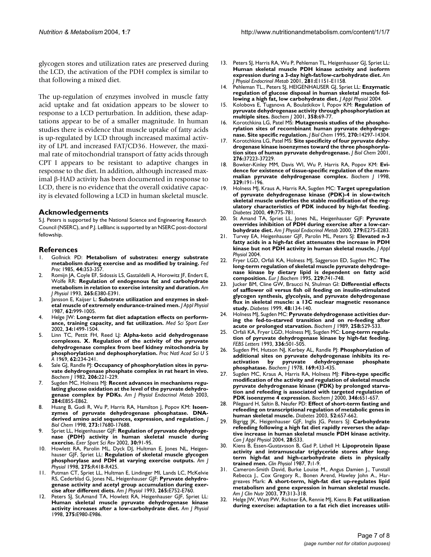glycogen stores and utilization rates are preserved during the LCD, the activation of the PDH complex is similar to that following a mixed diet.

The up-regulation of enzymes involved in muscle fatty acid uptake and fat oxidation appears to be slower to response to a LCD perturbation. In addition, these adaptations appear to be of a smaller magnitude. In human studies there is evidence that muscle uptake of fatty acids is up-regulated by LCD through increased maximal activity of LPL and increased FAT/CD36. However, the maximal rate of mitochondrial transport of fatty acids through CPT I appears to be resistant to adaptive changes in response to the diet. In addition, although increased maximal β-HAD activity has been documented in response to LCD, there is no evidence that the overall oxidative capacity is elevated following a LCD in human skeletal muscle.

#### **Acknowledgements**

S.J. Peters is supported by the National Science and Engineering Research Council (NSERC), and P.J. LeBlanc is supported by an NSERC post-doctoral fellowship.

## **References**

- 1. Gollnick PD: **[Metabolism of substrates: energy substrate](http://www.ncbi.nlm.nih.gov/entrez/query.fcgi?cmd=Retrieve&db=PubMed&dopt=Abstract&list_uids=3967777) [metabolism during exercise and as modified by training.](http://www.ncbi.nlm.nih.gov/entrez/query.fcgi?cmd=Retrieve&db=PubMed&dopt=Abstract&list_uids=3967777)** *Fed Proc* 1985, **44:**353-357.
- 2. Romijn JA, Coyle EF, Sidossis LS, Gastaldelli A, Horowitz JF, Endert E, Wolfe RR: **[Regulation of endogenous fat and carbohydrate](http://www.ncbi.nlm.nih.gov/entrez/query.fcgi?cmd=Retrieve&db=PubMed&dopt=Abstract&list_uids=8214047) [metabolism in relation to exercise intensity and duration.](http://www.ncbi.nlm.nih.gov/entrez/query.fcgi?cmd=Retrieve&db=PubMed&dopt=Abstract&list_uids=8214047)** *Am J Physiol* 1993, **265:**E380-E391.
- 3. Jansson E, Kaijser L: **[Substrate utilization and enzymes in skel](http://www.ncbi.nlm.nih.gov/entrez/query.fcgi?cmd=Retrieve&db=PubMed&dopt=Abstract&list_uids=3571098)[etal muscle of extremely endurance-trained men.](http://www.ncbi.nlm.nih.gov/entrez/query.fcgi?cmd=Retrieve&db=PubMed&dopt=Abstract&list_uids=3571098)** *J Appl Physiol* 1987, **62:**999-1005.
- Helge JW: Long-term fat diet adaptation effects on perform**ance, training capacity, and fat utilization.** *Med Sci Sport Exer* 2002, **34:**1499-1504.
- 5. Linn TC, Pettit FH, Reed LJ: **[Alpha-keto acid dehydrogenase](http://www.ncbi.nlm.nih.gov/entrez/query.fcgi?cmd=Retrieve&db=PubMed&dopt=Abstract&list_uids=4306045) complexes. X. Regulation of the activity of the pyruvate [dehydrogenase complex from beef kidney mitochondria by](http://www.ncbi.nlm.nih.gov/entrez/query.fcgi?cmd=Retrieve&db=PubMed&dopt=Abstract&list_uids=4306045) [phosphorylation and dephosphorylation.](http://www.ncbi.nlm.nih.gov/entrez/query.fcgi?cmd=Retrieve&db=PubMed&dopt=Abstract&list_uids=4306045)** *Proc Natl Acad Sci U S A* 1969, **62:**234-241.
- Sale GJ, Randle PJ: [Occupancy of phosphorylation sites in pyru](http://www.ncbi.nlm.nih.gov/entrez/query.fcgi?cmd=Retrieve&db=PubMed&dopt=Abstract&list_uids=6293460)**[vate dehydrogenase phosphate complex in rat heart in vivo.](http://www.ncbi.nlm.nih.gov/entrez/query.fcgi?cmd=Retrieve&db=PubMed&dopt=Abstract&list_uids=6293460)** *Biochem J* 1982, **206:**221-229.
- 7. Sugden MC, Holness MJ: **[Recent advances in mechanisms regu](http://www.ncbi.nlm.nih.gov/entrez/query.fcgi?cmd=Retrieve&db=PubMed&dopt=Abstract&list_uids=12676647)[lating glucose oxidation at the level of the pyruvate dehydro](http://www.ncbi.nlm.nih.gov/entrez/query.fcgi?cmd=Retrieve&db=PubMed&dopt=Abstract&list_uids=12676647)[genase complex by PDKs.](http://www.ncbi.nlm.nih.gov/entrez/query.fcgi?cmd=Retrieve&db=PubMed&dopt=Abstract&list_uids=12676647)** *Am J Physiol Endocrinol Metab* 2003, **284:**E855-E862.
- 8. Huang B, Gudi R, Wu P, Harris RA, Hamilton J, Popov KM: **[Isoen](http://www.ncbi.nlm.nih.gov/entrez/query.fcgi?cmd=Retrieve&db=PubMed&dopt=Abstract&list_uids=9651365)[zymes of pyruvate dehydrogenase phosphatase. DNA](http://www.ncbi.nlm.nih.gov/entrez/query.fcgi?cmd=Retrieve&db=PubMed&dopt=Abstract&list_uids=9651365)[derived amino acid sequences, expression, and regulation.](http://www.ncbi.nlm.nih.gov/entrez/query.fcgi?cmd=Retrieve&db=PubMed&dopt=Abstract&list_uids=9651365)** *J Biol Chem* 1998, **273:**17680-17688.
- 9. Spriet LL, Heigenhauser GJF: **Regulation of pyruvate dehydrogenase (PDH) activity in human skeletal muscle during exercise.** *Exer Sport Sci Rev* 2002, **30:**91-95.
- 10. Howlett RA, Parolin ML, Dyck DJ, Hultman E, Jones NL, Heigenhauser GJF, Spriet LL: **[Regulation of skeletal muscle glycogen](http://www.ncbi.nlm.nih.gov/entrez/query.fcgi?cmd=Retrieve&db=PubMed&dopt=Abstract&list_uids=9688676) [phosphorylase and PDH at varying exercise outputs.](http://www.ncbi.nlm.nih.gov/entrez/query.fcgi?cmd=Retrieve&db=PubMed&dopt=Abstract&list_uids=9688676)** *Am J Physiol* 1998, **275:**R418-R425.
- 11. Putman CT, Spriet LL, Hultman E, Lindinger MI, Lands LC, McKelvie RS, Cederblad G, Jones NL, Heigenhauser GJF: **[Pyruvate dehydro](http://www.ncbi.nlm.nih.gov/entrez/query.fcgi?cmd=Retrieve&db=PubMed&dopt=Abstract&list_uids=8238502)[genase activity and acetyl group accumulation during exer](http://www.ncbi.nlm.nih.gov/entrez/query.fcgi?cmd=Retrieve&db=PubMed&dopt=Abstract&list_uids=8238502)[cise after different diets.](http://www.ncbi.nlm.nih.gov/entrez/query.fcgi?cmd=Retrieve&db=PubMed&dopt=Abstract&list_uids=8238502)** *Am J Physiol* 1993, **265:**E752-E760.
- Peters SJ, St.Amand TA, Howlett RA, Heigenhauser GJF, Spriet LL: **[Human skeletal muscle pyruvate dehydrogenase kinase](http://www.ncbi.nlm.nih.gov/entrez/query.fcgi?cmd=Retrieve&db=PubMed&dopt=Abstract&list_uids=9843740) [activity increases after a low-carbohydrate diet.](http://www.ncbi.nlm.nih.gov/entrez/query.fcgi?cmd=Retrieve&db=PubMed&dopt=Abstract&list_uids=9843740)** *Am J Physiol* 1998, **275:**E980-E986.
- 13. Peters SJ, Harris RA, Wu P, Pehleman TL, Heigenhauser GJ, Spriet LL: **[Human skeletal muscle PDH kinase activity and isoform](http://www.ncbi.nlm.nih.gov/entrez/query.fcgi?cmd=Retrieve&db=PubMed&dopt=Abstract&list_uids=11701428) [expression during a 3-day high-fat/low-carbohydrate diet.](http://www.ncbi.nlm.nih.gov/entrez/query.fcgi?cmd=Retrieve&db=PubMed&dopt=Abstract&list_uids=11701428)** *Am J Physiol Endocrinol Metab* 2001, **281:**E1151-E1158.
- 14. Pehleman TL., Peters SJ, HEIGENHAUSER GJ, Spriet LL: **Enzymatic regulation of glucose disposal in human skeletal muscle following a high fat, low carbohydrate diet.** *J Appl Physiol* 2004.
- 15. Kolobova E, Tuganova A, Boulatkikov I, Popov KM: **[Regulation of](http://www.ncbi.nlm.nih.gov/entrez/query.fcgi?cmd=Retrieve&db=PubMed&dopt=Abstract&list_uids=11485553) [pyruvate dehydrogenase activity through phosphorylation at](http://www.ncbi.nlm.nih.gov/entrez/query.fcgi?cmd=Retrieve&db=PubMed&dopt=Abstract&list_uids=11485553) [multiple sites.](http://www.ncbi.nlm.nih.gov/entrez/query.fcgi?cmd=Retrieve&db=PubMed&dopt=Abstract&list_uids=11485553)** *Biochem J* 2001, **358:**69-77.
- 16. Korotchkina LG, Patel MS: **[Mutagenesis studies of the phospho](http://www.ncbi.nlm.nih.gov/entrez/query.fcgi?cmd=Retrieve&db=PubMed&dopt=Abstract&list_uids=7782287)[rylation sites of recombinant human pyruvate dehydroge](http://www.ncbi.nlm.nih.gov/entrez/query.fcgi?cmd=Retrieve&db=PubMed&dopt=Abstract&list_uids=7782287)[nase. Site specific regulation.](http://www.ncbi.nlm.nih.gov/entrez/query.fcgi?cmd=Retrieve&db=PubMed&dopt=Abstract&list_uids=7782287)** *J Biol Chem* 1995, **270:**14297-14304.
- 17. Korotchkina LG, Patel MS: **[Site specificity of four pyruvate dehy](http://www.ncbi.nlm.nih.gov/entrez/query.fcgi?cmd=Retrieve&db=PubMed&dopt=Abstract&list_uids=11486000)[drogenase kinase isoenzymes toward the three phosphoryla](http://www.ncbi.nlm.nih.gov/entrez/query.fcgi?cmd=Retrieve&db=PubMed&dopt=Abstract&list_uids=11486000)[tion sites of human pyruvate dehydrogenase.](http://www.ncbi.nlm.nih.gov/entrez/query.fcgi?cmd=Retrieve&db=PubMed&dopt=Abstract&list_uids=11486000)** *J Biol Chem* 2001, **276:**37223-37229.
- 18. Bowker-Kinley MM, Davis WI, Wu P, Harris RA, Popov KM: **[Evi](http://www.ncbi.nlm.nih.gov/entrez/query.fcgi?cmd=Retrieve&db=PubMed&dopt=Abstract&list_uids=9405293)[dence for existence of tissue-specific regulation of the mam](http://www.ncbi.nlm.nih.gov/entrez/query.fcgi?cmd=Retrieve&db=PubMed&dopt=Abstract&list_uids=9405293)[malian pyruvate dehydrogenase complex.](http://www.ncbi.nlm.nih.gov/entrez/query.fcgi?cmd=Retrieve&db=PubMed&dopt=Abstract&list_uids=9405293)** *Biochem J* 1998, **329:**191-196.
- 19. Holness MJ, Kraus A, Harris RA, Sugden MC: **[Target upregulation](http://www.ncbi.nlm.nih.gov/entrez/query.fcgi?cmd=Retrieve&db=PubMed&dopt=Abstract&list_uids=10905486) [of pyruvate dehydrogenase kinase \(PDK\)-4 in slow-twitch](http://www.ncbi.nlm.nih.gov/entrez/query.fcgi?cmd=Retrieve&db=PubMed&dopt=Abstract&list_uids=10905486) skeletal muscle underlies the stable modification of the regulatory characteristics of PDK induced by high-fat feeding.** *Diabetes* 2000, **49:**775-781.
- 20. St Amand TA, Spriet LL, Jones NL, Heigenhauser GJF: **[Pyruvate](http://www.ncbi.nlm.nih.gov/entrez/query.fcgi?cmd=Retrieve&db=PubMed&dopt=Abstract&list_uids=10913026) [overrides inhibition of PDH during exercise after a low-car](http://www.ncbi.nlm.nih.gov/entrez/query.fcgi?cmd=Retrieve&db=PubMed&dopt=Abstract&list_uids=10913026)[bohydrate diet.](http://www.ncbi.nlm.nih.gov/entrez/query.fcgi?cmd=Retrieve&db=PubMed&dopt=Abstract&list_uids=10913026)** *Am J Physiol Endocrinol Metab* 2000, **279:**E275-E283.
- 21. Turvey EA, Heigenhauser GJF, Parolin ML, Peters SJ: **Elevated n-3 fatty acids in a high-fat diet attenuates the increase in PDH kinase but not PDH activity in human skeletal muscle.** *J Appl Physiol* 2004.
- 22. Fryer LGD, Orfali KA, Holness MJ, Saggerson ED, Sugden MC: **[The](http://www.ncbi.nlm.nih.gov/entrez/query.fcgi?cmd=Retrieve&db=PubMed&dopt=Abstract&list_uids=7758471) [long-term regulation of skeletal muscle pyruvate dehydroge](http://www.ncbi.nlm.nih.gov/entrez/query.fcgi?cmd=Retrieve&db=PubMed&dopt=Abstract&list_uids=7758471)nase kinase by dietary lipid is dependent on fatty acid [composition.](http://www.ncbi.nlm.nih.gov/entrez/query.fcgi?cmd=Retrieve&db=PubMed&dopt=Abstract&list_uids=7758471)** *Eur J Biochem* 1995, **229:**741-748.
- 23. Jucker BM, Cline GW, Braucci N, Shulman GI: **[Differential effects](http://www.ncbi.nlm.nih.gov/entrez/query.fcgi?cmd=Retrieve&db=PubMed&dopt=Abstract&list_uids=9892234) of safflower oil versus fish oil feeding on insulin-stimulated [glycogen synthesis, glycolysis, and pyruvate dehydrogenase](http://www.ncbi.nlm.nih.gov/entrez/query.fcgi?cmd=Retrieve&db=PubMed&dopt=Abstract&list_uids=9892234) flux in skeletal muscle: a 13C nuclear magnetic resonance [study.](http://www.ncbi.nlm.nih.gov/entrez/query.fcgi?cmd=Retrieve&db=PubMed&dopt=Abstract&list_uids=9892234)** *Diabetes* 1999, **48:**134-140.
- 24. Holness MJ, Sugden MC: **[Pyruvate dehydrogenase activities dur](http://www.ncbi.nlm.nih.gov/entrez/query.fcgi?cmd=Retrieve&db=PubMed&dopt=Abstract&list_uids=2705997)[ing the fed-to-starved transition and on re-feeding after](http://www.ncbi.nlm.nih.gov/entrez/query.fcgi?cmd=Retrieve&db=PubMed&dopt=Abstract&list_uids=2705997) [acute or prolonged starvation.](http://www.ncbi.nlm.nih.gov/entrez/query.fcgi?cmd=Retrieve&db=PubMed&dopt=Abstract&list_uids=2705997)** *Biochem J* 1989, **258:**529-533.
- 25. Orfali KA, Fryer LGD, Holness MJ, Sugden MC: **[Long-term regula](http://www.ncbi.nlm.nih.gov/entrez/query.fcgi?cmd=Retrieve&db=PubMed&dopt=Abstract&list_uids=8282119)[tion of pyruvate dehydrogenase kinase by high-fat feeding.](http://www.ncbi.nlm.nih.gov/entrez/query.fcgi?cmd=Retrieve&db=PubMed&dopt=Abstract&list_uids=8282119)** *FEBS Letters* 1993, **336:**501-505.
- 26. Sugden PH, Hutson NJ, Kerbey AL, Randle PJ: **[Phosphorylation of](http://www.ncbi.nlm.nih.gov/entrez/query.fcgi?cmd=Retrieve&db=PubMed&dopt=Abstract&list_uids=204298) additional sites on pyruvate dehydrogenase inhibits its re**activation by pyruvate **[phosphatase.](http://www.ncbi.nlm.nih.gov/entrez/query.fcgi?cmd=Retrieve&db=PubMed&dopt=Abstract&list_uids=204298)** *Biochem J* 1978, **169:**433-435.
- 27. Sugden MC, Kraus A, Harris RA, Holness MJ: **[Fibre-type specific](http://www.ncbi.nlm.nih.gov/entrez/query.fcgi?cmd=Retrieve&db=PubMed&dopt=Abstract&list_uids=10698691) modification of the activity and regulation of skeletal muscle [pyruvate dehydrogenase kinase \(PDK\) by prolonged starva](http://www.ncbi.nlm.nih.gov/entrez/query.fcgi?cmd=Retrieve&db=PubMed&dopt=Abstract&list_uids=10698691)tion and refeeding is associated with targeted regulation of [PDK isoenzyme 4 expression.](http://www.ncbi.nlm.nih.gov/entrez/query.fcgi?cmd=Retrieve&db=PubMed&dopt=Abstract&list_uids=10698691)** *Biochem J* 2000, **346:**651-657.
- 28. Pilegaard H, Saltin B, Neufer PD: **[Effect of short-term fasting and](http://www.ncbi.nlm.nih.gov/entrez/query.fcgi?cmd=Retrieve&db=PubMed&dopt=Abstract&list_uids=12606505) [refeeding on transcriptional regulation of metabolic genes in](http://www.ncbi.nlm.nih.gov/entrez/query.fcgi?cmd=Retrieve&db=PubMed&dopt=Abstract&list_uids=12606505) [human skeletal muscle.](http://www.ncbi.nlm.nih.gov/entrez/query.fcgi?cmd=Retrieve&db=PubMed&dopt=Abstract&list_uids=12606505)** *Diabetes* 2003, **52:**657-662.
- 29. Bigrigg JK, Heigenhauser GJF, Inglis JG, Peters SJ: **Carbohydrate refeeding following a high fat diet rapidly reverses the adaptive increase in human skeletal muscle PDH kinase activity.** *Can J Appl Physiol* 2004, **28:**S33.
- 30. Kiens B, Essen-Gustavsson B, Gad P, Lithell H: **[Lipoprotein lipase](http://www.ncbi.nlm.nih.gov/entrez/query.fcgi?cmd=Retrieve&db=PubMed&dopt=Abstract&list_uids=3545651) activity and intramuscular triglyceride stores after long[term high-fat and high-carbohydrate diets in physically](http://www.ncbi.nlm.nih.gov/entrez/query.fcgi?cmd=Retrieve&db=PubMed&dopt=Abstract&list_uids=3545651) [trained men.](http://www.ncbi.nlm.nih.gov/entrez/query.fcgi?cmd=Retrieve&db=PubMed&dopt=Abstract&list_uids=3545651)** *Clin Physiol* 1987, **7:**1-9.
- 31. Cameron-Smith David, Burke Louise M., Angus Damien J., Tunstall Rebecca J., Cox Gregory R., Bonen Arend, Hawley John A., Hargreaves Mark: **[A short-term, high-fat diet up-regulates lipid](http://www.ncbi.nlm.nih.gov/entrez/query.fcgi?cmd=Retrieve&db=PubMed&dopt=Abstract&list_uids=12540388) [metabolism and gene expression in human skeletal muscle.](http://www.ncbi.nlm.nih.gov/entrez/query.fcgi?cmd=Retrieve&db=PubMed&dopt=Abstract&list_uids=12540388)** *Am J Clin Nutr* 2003, **77:**313-318.
- 32. Helge JW, Watt PW, Richter EA, Rennie MJ, Kiens B: **[Fat utilization](http://www.ncbi.nlm.nih.gov/entrez/query.fcgi?cmd=Retrieve&db=PubMed&dopt=Abstract&list_uids=11744773) [during exercise: adaptation to a fat rich diet increases utili](http://www.ncbi.nlm.nih.gov/entrez/query.fcgi?cmd=Retrieve&db=PubMed&dopt=Abstract&list_uids=11744773)-**